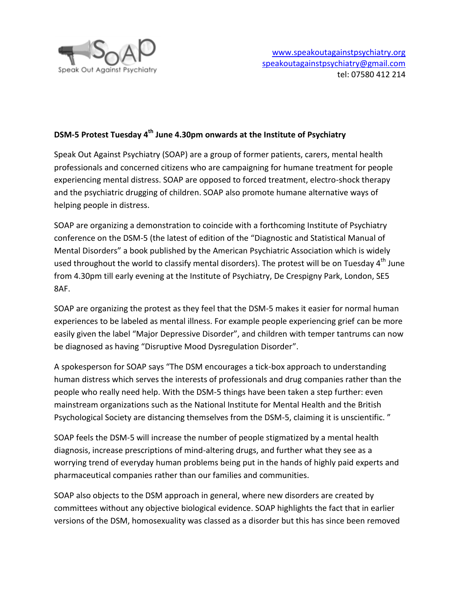

## **DSM-5 Protest Tuesday 4 th June 4.30pm onwards at the Institute of Psychiatry**

Speak Out Against Psychiatry (SOAP) are a group of former patients, carers, mental health professionals and concerned citizens who are campaigning for humane treatment for people experiencing mental distress. SOAP are opposed to forced treatment, electro-shock therapy and the psychiatric drugging of children. SOAP also promote humane alternative ways of helping people in distress.

SOAP are organizing a demonstration to coincide with a forthcoming Institute of Psychiatry conference on the DSM-5 (the latest of edition of the "Diagnostic and Statistical Manual of Mental Disorders" a book published by the American Psychiatric Association which is widely used throughout the world to classify mental disorders). The protest will be on Tuesday  $4<sup>th</sup>$  June from 4.30pm till early evening at the Institute of Psychiatry, De Crespigny Park, London, SE5 8AF.

SOAP are organizing the protest as they feel that the DSM-5 makes it easier for normal human experiences to be labeled as mental illness. For example people experiencing grief can be more easily given the label "Major Depressive Disorder", and children with temper tantrums can now be diagnosed as having "Disruptive Mood Dysregulation Disorder".

A spokesperson for SOAP says "The DSM encourages a tick-box approach to understanding human distress which serves the interests of professionals and drug companies rather than the people who really need help. With the DSM-5 things have been taken a step further: even mainstream organizations such as the National Institute for Mental Health and the British Psychological Society are distancing themselves from the DSM-5, claiming it is unscientific. "

SOAP feels the DSM-5 will increase the number of people stigmatized by a mental health diagnosis, increase prescriptions of mind-altering drugs, and further what they see as a worrying trend of everyday human problems being put in the hands of highly paid experts and pharmaceutical companies rather than our families and communities.

SOAP also objects to the DSM approach in general, where new disorders are created by committees without any objective biological evidence. SOAP highlights the fact that in earlier versions of the DSM, homosexuality was classed as a disorder but this has since been removed